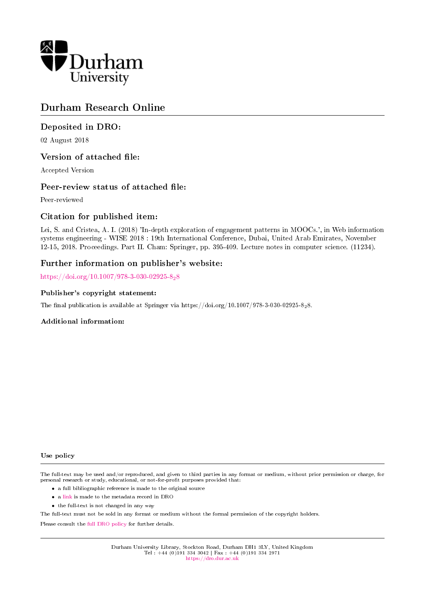

# Durham Research Online

# Deposited in DRO:

02 August 2018

# Version of attached file:

Accepted Version

# Peer-review status of attached file:

Peer-reviewed

# Citation for published item:

Lei, S. and Cristea, A. I. (2018) 'In-depth exploration of engagement patterns in MOOCs.', in Web information systems engineering - WISE 2018 : 19th International Conference, Dubai, United Arab Emirates, November 12-15, 2018. Proceedings. Part II. Cham: Springer, pp. 395-409. Lecture notes in computer science. (11234).

### Further information on publisher's website:

[https://doi.org/10.1007/978-3-030-02925-8](https://doi.org/10.1007/978-3-030-02925-8_28)28

### Publisher's copyright statement:

The final publication is available at Springer via https://doi.org/10.1007/978-3-030-02925-828.

### Additional information:

#### Use policy

The full-text may be used and/or reproduced, and given to third parties in any format or medium, without prior permission or charge, for personal research or study, educational, or not-for-profit purposes provided that:

- a full bibliographic reference is made to the original source
- a [link](http://dro.dur.ac.uk/25772/) is made to the metadata record in DRO
- the full-text is not changed in any way

The full-text must not be sold in any format or medium without the formal permission of the copyright holders.

Please consult the [full DRO policy](https://dro.dur.ac.uk/policies/usepolicy.pdf) for further details.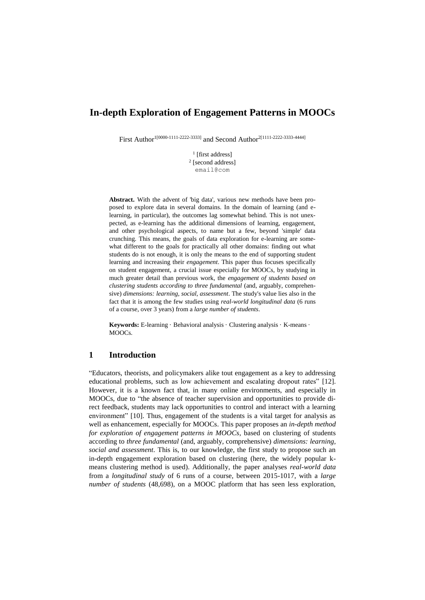# **In-depth Exploration of Engagement Patterns in MOOCs**

First Author<sup>1[0000-1111-2222-3333]</sup> and Second Author<sup>2[1111-2222-3333-4444]</sup>

<sup>1</sup> [first address] 2 [second address] email@com

**Abstract.** With the advent of 'big data', various new methods have been proposed to explore data in several domains. In the domain of learning (and elearning, in particular), the outcomes lag somewhat behind. This is not unexpected, as e-learning has the additional dimensions of learning, engagement, and other psychological aspects, to name but a few, beyond 'simple' data crunching. This means, the goals of data exploration for e-learning are somewhat different to the goals for practically all other domains: finding out what students do is not enough, it is only the means to the end of supporting student learning and increasing their *engagement*. This paper thus focuses specifically on student engagement, a crucial issue especially for MOOCs, by studying in much greater detail than previous work, the *engagement of students based on clustering students according to three fundamental* (and, arguably, comprehensive) *dimensions: learning, social, assessment*. The study's value lies also in the fact that it is among the few studies using *real-world longitudinal data* (6 runs of a course, over 3 years) from a *large number of students*.

**Keywords:** E-learning · Behavioral analysis · Clustering analysis · K-means · MOOCs.

### **1 Introduction**

"Educators, theorists, and policymakers alike tout engagement as a key to addressing educational problems, such as low achievement and escalating dropout rates" [12]. However, it is a known fact that, in many online environments, and especially in MOOCs, due to "the absence of teacher supervision and opportunities to provide direct feedback, students may lack opportunities to control and interact with a learning environment" [10]. Thus, engagement of the students is a vital target for analysis as well as enhancement, especially for MOOCs. This paper proposes an *in-depth method for exploration of engagement patterns in MOOCs*, based on clustering of students according to *three fundamental* (and, arguably, comprehensive) *dimensions: learning, social and assessment*. This is, to our knowledge, the first study to propose such an in-depth engagement exploration based on clustering (here, the widely popular kmeans clustering method is used). Additionally, the paper analyses *real-world data* from a *longitudinal study* of 6 runs of a course, between 2015-1017, with a *large number of students* (48,698), on a MOOC platform that has seen less exploration,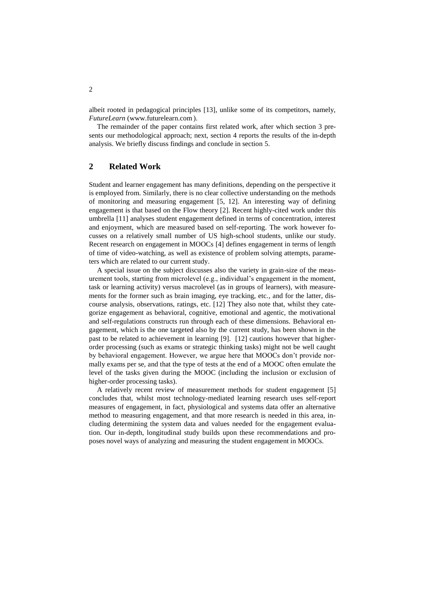albeit rooted in pedagogical principles [13], unlike some of its competitors, namely, *FutureLearn* (www.futurelearn.com ).

The remainder of the paper contains first related work, after which section 3 presents our methodological approach; next, section 4 reports the results of the in-depth analysis. We briefly discuss findings and conclude in section 5.

### **2 Related Work**

Student and learner engagement has many definitions, depending on the perspective it is employed from. Similarly, there is no clear collective understanding on the methods of monitoring and measuring engagement [5, 12]. An interesting way of defining engagement is that based on the Flow theory [2]. Recent highly-cited work under this umbrella [11] analyses student engagement defined in terms of concentration, interest and enjoyment, which are measured based on self-reporting. The work however focusses on a relatively small number of US high-school students, unlike our study. Recent research on engagement in MOOCs [4] defines engagement in terms of length of time of video-watching, as well as existence of problem solving attempts, parameters which are related to our current study.

A special issue on the subject discusses also the variety in grain-size of the measurement tools, starting from microlevel (e.g., individual's engagement in the moment, task or learning activity) versus macrolevel (as in groups of learners), with measurements for the former such as brain imaging, eye tracking, etc., and for the latter, discourse analysis, observations, ratings, etc. [12] They also note that, whilst they categorize engagement as behavioral, cognitive, emotional and agentic, the motivational and self-regulations constructs run through each of these dimensions. Behavioral engagement, which is the one targeted also by the current study, has been shown in the past to be related to achievement in learning [9]. [12] cautions however that higherorder processing (such as exams or strategic thinking tasks) might not be well caught by behavioral engagement. However, we argue here that MOOCs don't provide normally exams per se, and that the type of tests at the end of a MOOC often emulate the level of the tasks given during the MOOC (including the inclusion or exclusion of higher-order processing tasks).

A relatively recent review of measurement methods for student engagement [5] concludes that, whilst most technology-mediated learning research uses self-report measures of engagement, in fact, physiological and systems data offer an alternative method to measuring engagement, and that more research is needed in this area, including determining the system data and values needed for the engagement evaluation. Our in-depth, longitudinal study builds upon these recommendations and proposes novel ways of analyzing and measuring the student engagement in MOOCs.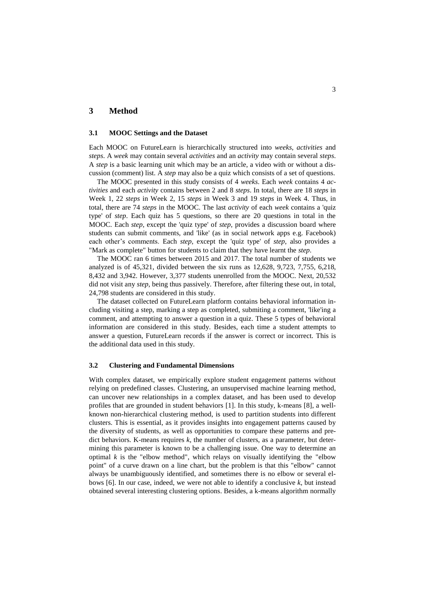### **3 Method**

#### **3.1 MOOC Settings and the Dataset**

Each MOOC on FutureLearn is hierarchically structured into *weeks*, *activities* and *steps*. A *week* may contain several *activities* and an *activity* may contain several *steps*. A *step* is a basic learning unit which may be an article, a video with or without a discussion (comment) list. A *step* may also be a quiz which consists of a set of questions.

The MOOC presented in this study consists of 4 *weeks*. Each *week* contains 4 *activities* and each *activity* contains between 2 and 8 *steps*. In total, there are 18 *steps* in Week 1, 22 *steps* in Week 2, 15 *steps* in Week 3 and 19 *steps* in Week 4. Thus, in total, there are 74 *steps* in the MOOC. The last *activity* of each *week* contains a 'quiz type' of *step*. Each quiz has 5 questions, so there are 20 questions in total in the MOOC. Each *step*, except the 'quiz type' of *step*, provides a discussion board where students can submit comments, and 'like' (as in social network apps e.g. Facebook) each other's comments. Each *step*, except the 'quiz type' of *step*, also provides a "Mark as complete" button for students to claim that they have learnt the *step*.

The MOOC ran 6 times between 2015 and 2017. The total number of students we analyzed is of 45,321, divided between the six runs as 12,628, 9,723, 7,755, 6,218, 8,432 and 3,942. However, 3,377 students unenrolled from the MOOC. Next, 20,532 did not visit any *step*, being thus passively. Therefore, after filtering these out, in total, 24,798 students are considered in this study.

The dataset collected on FutureLearn platform contains behavioral information including visiting a step, marking a step as completed, submiting a comment, 'like'ing a comment, and attempting to answer a question in a quiz. These 5 types of behavioral information are considered in this study. Besides, each time a student attempts to answer a question, FutureLearn records if the answer is correct or incorrect. This is the additional data used in this study.

#### **3.2 Clustering and Fundamental Dimensions**

With complex dataset, we empirically explore student engagement patterns without relying on predefined classes. Clustering, an unsupervised machine learning method, can uncover new relationships in a complex dataset, and has been used to develop profiles that are grounded in student behaviors [1]. In this study, k-means [8], a wellknown non-hierarchical clustering method, is used to partition students into different clusters. This is essential, as it provides insights into engagement patterns caused by the diversity of students, as well as opportunities to compare these patterns and predict behaviors. K-means requires *k*, the number of clusters, as a parameter, but determining this parameter is known to be a challenging issue. One way to determine an optimal  $k$  is the "elbow method", which relays on visually identifying the "elbow point" of a curve drawn on a line chart, but the problem is that this "elbow" cannot always be unambiguously identified, and sometimes there is no elbow or several elbows [6]. In our case, indeed, we were not able to identify a conclusive *k*, but instead obtained several interesting clustering options. Besides, a k-means algorithm normally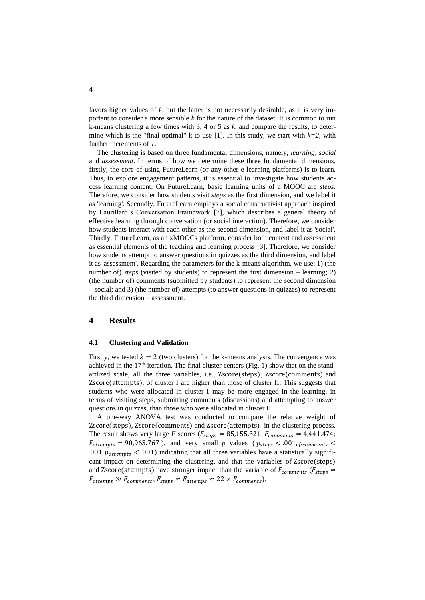favors higher values of *k*, but the latter is not necessarily desirable, as it is very important to consider a more sensible *k* for the nature of the dataset. It is common to run k-means clustering a few times with 3, 4 or 5 as *k*, and compare the results, to determine which is the "final optimal" k to use [1]. In this study, we start with  $k=2$ , with further increments of *1*.

The clustering is based on three fundamental dimensions, namely, *learning*, *social* and *assessment*. In terms of how we determine these three fundamental dimensions, firstly, the core of using FutureLearn (or any other e-learning platforms) is to learn. Thus, to explore engagement patterns, it is essential to investigate how students access learning content. On FutureLearn, basic learning units of a MOOC are *steps*. Therefore, we consider how students visit *steps* as the first dimension, and we label it as 'learning'. Secondly, FutureLearn employs a social constructivist approach inspired by Laurillard's Conversation Framework [7], which describes a general theory of effective learning through conversation (or social interaction). Therefore, we consider how students interact with each other as the second dimension, and label it as 'social'. Thirdly, FutureLearn, as an xMOOCs platform, consider both content and assessment as essential elements of the teaching and learning process [3]. Therefore, we consider how students attempt to answer questions in quizzes as the third dimension, and label it as 'assessment'. Regarding the parameters for the k-means algorithm, we use: 1) (the number of) *steps* (visited by students) to represent the first dimension – learning; 2) (the number of) comments (submitted by students) to represent the second dimension – social; and 3) (the number of) attempts (to answer questions in quizzes) to represent the third dimension – assessment.

### **4 Results**

#### **4.1 Clustering and Validation**

Firstly, we tested  $k = 2$  (two clusters) for the k-means analysis. The convergence was achieved in the  $17<sup>th</sup>$  iteration. The final cluster centers [\(Fig. 1\)](#page-5-0) show that on the standardized scale, all the three variables, i.e., Zscore(steps), Zscore(comments) and Zscore(attempts), of cluster I are higher than those of cluster II. This suggests that students who were allocated in cluster I may be more engaged in the learning, in terms of visiting steps, submitting comments (discussions) and attempting to answer questions in quizzes, than those who were allocated in cluster II.

A one-way ANOVA test was conducted to compare the relative weight of Zscore(steps), Zscore(comments) and Zscore(attempts) in the clustering process. The result shows very large *F* scores ( $F_{steps} = 85,155.321$ ;  $F_{comments} = 4,441.474$ ;  $F_{attempts}$  = 90,965.767), and very small  $p$  values (  $p_{steps} < .001, p_{comments}$ .001,  $p_{attempts}$  < .001) indicating that all three variables have a statistically significant impact on determining the clustering, and that the variables of Zscore(steps) and Zscore(attempts) have stronger impact than the variable of  $F_{comments}$  ( $F_{steps} \approx$  $F_{attemps} \gg F_{comments}, F_{steps} \approx F_{attemps} \approx 22 \times F_{comments}.$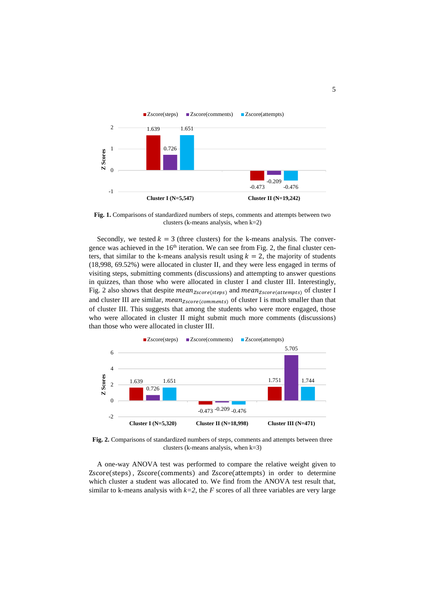

<span id="page-5-0"></span>**Fig. 1.** Comparisons of standardized numbers of steps, comments and attempts between two clusters (k-means analysis, when k=2)

Secondly, we tested  $k = 3$  (three clusters) for the k-means analysis. The convergence was achieved in the  $16<sup>th</sup>$  iteration. We can see from [Fig. 2,](#page-5-1) the final cluster centers, that similar to the k-means analysis result using  $k = 2$ , the majority of students (18,998, 69.52%) were allocated in cluster II, and they were less engaged in terms of visiting steps, submitting comments (discussions) and attempting to answer questions in quizzes, than those who were allocated in cluster I and cluster III. Interestingly, [Fig. 2](#page-5-1) also shows that despite  $mean_{Zscore(steps)}$  and  $mean_{Zscore(attempts)}$  of cluster I and cluster III are similar,  $mean_{Zscore(comments)}$  of cluster I is much smaller than that of cluster III. This suggests that among the students who were more engaged, those who were allocated in cluster II might submit much more comments (discussions) than those who were allocated in cluster III.



<span id="page-5-1"></span>**Fig. 2.** Comparisons of standardized numbers of steps, comments and attempts between three clusters (k-means analysis, when  $k=3$ )

A one-way ANOVA test was performed to compare the relative weight given to Zscore(steps) , Zscore(comments) and Zscore(attempts) in order to determine which cluster a student was allocated to. We find from the ANOVA test result that, similar to k-means analysis with  $k=2$ , the *F* scores of all three variables are very large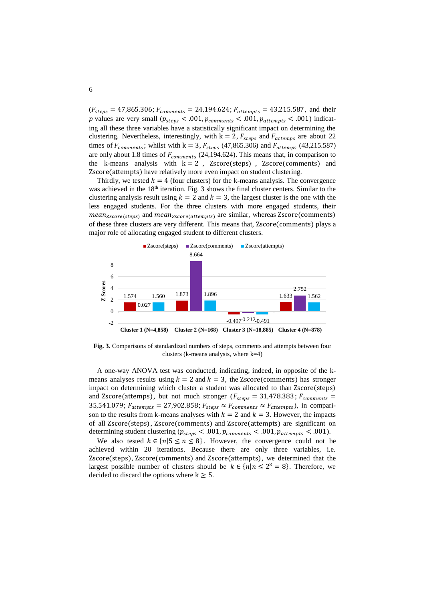$(F_{steps} = 47,865.306; F_{comments} = 24,194.624; F_{attempts} = 43,215.587,$  and their p values are very small ( $p_{steps} < .001$ ,  $p_{comments} < .001$ ,  $p_{attempts} < .001$ ) indicating all these three variables have a statistically significant impact on determining the clustering. Nevertheless, interestingly, with  $k = 2$ ,  $F_{steps}$  and  $F_{attemps}$  are about 22 times of  $F_{comments}$ ; whilst with k = 3,  $F_{steps}$  (47,865.306) and  $F_{attemps}$  (43,215.587) are only about 1.8 times of  $F_{comments}$  (24,194.624). This means that, in comparison to the k-means analysis with  $k = 2$ , Zscore(steps), Zscore(comments) and Zscore(attempts) have relatively more even impact on student clustering.

Thirdly, we tested  $k = 4$  (four clusters) for the k-means analysis. The convergence was achieved in the 18<sup>th</sup> iteration. [Fig. 3](#page-6-0) shows the final cluster centers. Similar to the clustering analysis result using  $k = 2$  and  $k = 3$ , the largest cluster is the one with the less engaged students. For the three clusters with more engaged students, their  $mean_{Zscore(stens)}$  and  $mean_{Zscore(attempts)}$  are similar, whereas  $Zscore(comments)$ of these three clusters are very different. This means that, Zscore(comments) plays a major role of allocating engaged student to different clusters.



<span id="page-6-0"></span>**Fig. 3.** Comparisons of standardized numbers of steps, comments and attempts between four clusters (k-means analysis, where k=4)

A one-way ANOVA test was conducted, indicating, indeed, in opposite of the kmeans analyses results using  $k = 2$  and  $k = 3$ , the Zscore(comments) has stronger impact on determining which cluster a student was allocated to than Zscore(steps) and Zscore(attemps), but not much stronger ( $F_{steps} = 31,478.383$ ;  $F_{comments} =$ 35,541.079;  $F_{attempts} = 27,902.858$ ;  $F_{steps} \approx F_{comments} \approx F_{attempts}$ ), in comparison to the results from k-means analyses with  $k = 2$  and  $k = 3$ . However, the impacts of all Zscore(steps), Zscore(comments) and Zscore(attempts) are significant on determining student clustering ( $p_{steps} < .001$ ,  $p_{comments} < .001$ ,  $p_{attempts} < .001$ ).

We also tested  $k \in \{n | 5 \le n \le 8\}$ . However, the convergence could not be achieved within 20 iterations. Because there are only three variables, i.e. Zscore(steps), Zscore(comments) and Zscore(attempts), we determined that the largest possible number of clusters should be  $k \in \{n | n \leq 2^3 = 8\}$ . Therefore, we decided to discard the options where  $k \geq 5$ .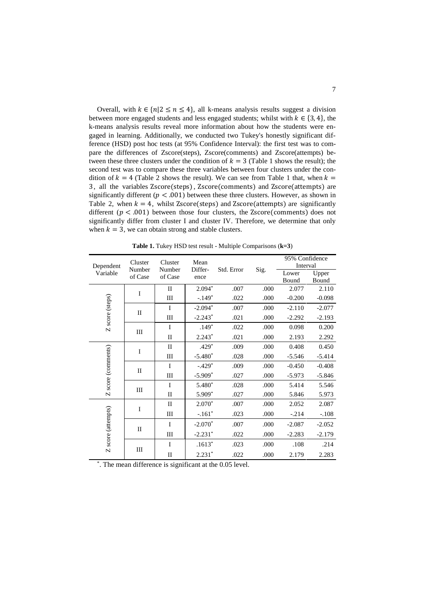Overall, with  $k \in \{n | 2 \le n \le 4\}$ , all k-means analysis results suggest a division between more engaged students and less engaged students; whilst with  $k \in \{3, 4\}$ , the k-means analysis results reveal more information about how the students were engaged in learning. Additionally, we conducted two Tukey's honestly significant difference (HSD) post hoc tests (at 95% Confidence Interval): the first test was to compare the differences of Zscore(steps), Zscore(comments) and Zscore(attempts) between these three clusters under the condition of  $k = 3$  [\(Table 1](#page-7-0) shows the result); the second test was to compare these three variables between four clusters under the condition of  $k = 4$  [\(Table 2](#page-8-0) shows the result). We can see from [Table 1](#page-7-0) that, when  $k =$ 3, all the variables Zscore(steps) , Zscore(comments) and Zscore(attempts) are significantly different ( $p < .001$ ) between these three clusters. However, as shown in [Table 2,](#page-8-0) when  $k = 4$ , whilst Zscore(steps) and Zscore(attempts) are significantly different ( $p < .001$ ) between those four clusters, the Zscore(comments) does not significantly differ from cluster I and cluster IV. Therefore, we determine that only when  $k = 3$ , we can obtain strong and stable clusters.

<span id="page-7-0"></span>

|                       | Cluster<br>Number<br>of Case | Cluster      | Mean<br>Differ- | Std. Error | Sig. | 95% Confidence |          |
|-----------------------|------------------------------|--------------|-----------------|------------|------|----------------|----------|
| Dependent<br>Variable |                              | Number       |                 |            |      | Interval       |          |
|                       |                              | of Case      | ence            |            |      | Lower          | Upper    |
|                       |                              |              |                 |            |      | Bound          | Bound    |
|                       | I                            | $\mathbf{I}$ | $2.094*$        | .007       | .000 | 2.077          | 2.110    |
|                       |                              | Ш            | $-.149*$        | .022       | .000 | $-0.200$       | $-0.098$ |
|                       | $\mathbf{I}$                 | $\mathbf{I}$ | $-2.094*$       | .007       | .000 | $-2.110$       | $-2.077$ |
| Z score (steps)       |                              | Ш            | $-2.243*$       | .021       | .000 | $-2.292$       | $-2.193$ |
|                       | III                          | I            | $.149*$         | .022       | .000 | 0.098          | 0.200    |
|                       |                              | $\mathbf{I}$ | $2.243*$        | .021       | .000 | 2.193          | 2.292    |
|                       | I                            | $\mathbf{I}$ | .429*           | .009       | .000 | 0.408          | 0.450    |
| Z score (comments)    |                              | Ш            | $-5.480*$       | .028       | .000 | $-5.546$       | $-5.414$ |
|                       | П                            | $\mathbf I$  | $-.429*$        | .009       | .000 | $-0.450$       | $-0.408$ |
|                       |                              | Ш            | $-5.909*$       | .027       | .000 | $-5.973$       | $-5.846$ |
|                       | III                          | $\mathbf I$  | 5.480*          | .028       | .000 | 5.414          | 5.546    |
|                       |                              | $\mathbf{I}$ | 5.909*          | .027       | .000 | 5.846          | 5.973    |
| Z score (attempts)    | I                            | $\mathbf{I}$ | $2.070*$        | .007       | .000 | 2.052          | 2.087    |
|                       |                              | Ш            | $-.161*$        | .023       | .000 | $-.214$        | $-.108$  |
|                       | П                            | I            | $-2.070*$       | .007       | .000 | $-2.087$       | $-2.052$ |
|                       |                              | Ш            | $-2.231*$       | .022       | .000 | $-2.283$       | $-2.179$ |
|                       | Ш                            | $\mathbf I$  | $.1613*$        | .023       | .000 | .108           | .214     |
|                       |                              | $\rm II$     | $2.231*$        | .022       | .000 | 2.179          | 2.283    |

**Table 1.** Tukey HSD test result - Multiple Comparisons (**k=3**)

\* . The mean difference is significant at the 0.05 level.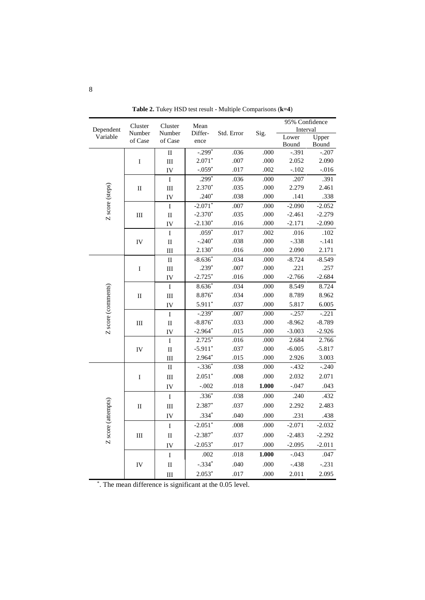<span id="page-8-0"></span>

|                       | Cluster<br>Number<br>of Case | Cluster                | Mean<br>Differ- |            | Sig.  | 95% Confidence   |                  |
|-----------------------|------------------------------|------------------------|-----------------|------------|-------|------------------|------------------|
| Dependent<br>Variable |                              | Number                 |                 | Std. Error |       | Interval         |                  |
|                       |                              | of Case                | ence            |            |       | Lower            | Upper            |
|                       | $\rm I$                      | $\rm II$               | $-.299*$        | .036       | .000  | Bound<br>$-.391$ | Bound<br>$-.207$ |
|                       |                              | III                    | $2.071*$        | .007       | .000  | 2.052            | 2.090            |
|                       |                              | IV                     | $-.059*$        | .017       | .002  | $-.102$          | $-.016$          |
|                       |                              | $\overline{I}$         | $.299*$         | .036       | .000  | .207             | .391             |
| Z score (steps)       | $\rm II$                     | $\rm III$              | $2.370*$        | .035       | .000  | 2.279            | 2.461            |
|                       |                              | IV                     | $.240*$         | .038       | .000  | .141             | .338             |
|                       |                              | $\bar{\rm I}$          | $-2.071*$       | .007       | .000  | $-2.090$         | $-2.052$         |
|                       | Ш                            | $\mathbf{I}\mathbf{I}$ | $-2.370*$       | .035       | .000  | $-2.461$         | $-2.279$         |
|                       |                              | IV                     | $-2.130*$       | .016       | .000  | $-2.171$         | $-2.090$         |
|                       |                              | I                      | $.059*$         | .017       | .002  | .016             | .102             |
|                       | IV                           | $\mathbf{I}$           | $-.240*$        | .038       | .000  | $-.338$          | $-.141$          |
|                       |                              | III                    | $2.130*$        | .016       | .000  | 2.090            | 2.171            |
|                       |                              | $\rm II$               | $-8.636*$       | .034       | .000  | $-8.724$         | $-8.549$         |
|                       | I                            | $III$                  | $.239*$         | .007       | .000  | .221             | .257             |
|                       |                              | IV                     | $-2.725*$       | .016       | .000  | $-2.766$         | $-2.684$         |
|                       |                              | I                      | $8.636*$        | .034       | .000  | 8.549            | 8.724            |
|                       | $\rm II$                     | III                    | 8.876*          | .034       | .000  | 8.789            | 8.962            |
| Z score (comments)    |                              | IV                     | $5.911*$        | .037       | .000  | 5.817            | 6.005            |
|                       |                              | I                      | $-.239*$        | .007       | .000  | $-.257$          | $-.221$          |
|                       | III                          | $\mathbf I$            | $-8.876*$       | .033       | .000  | $-8.962$         | $-8.789$         |
|                       |                              | IV                     | $-2.964*$       | .015       | .000  | $-3.003$         | $-2.926$         |
|                       | IV                           | $\mathbf I$            | $2.725*$        | .016       | .000  | 2.684            | 2.766            |
|                       |                              | $\mathbf{I}$           | $-5.911*$       | .037       | .000  | $-6.005$         | $-5.817$         |
|                       |                              | Ш                      | $2.964*$        | .015       | .000  | 2.926            | 3.003            |
|                       | $\rm I$                      | $\mathbf{I}$           | $-.336*$        | .038       | .000  | $-.432$          | $-.240$          |
|                       |                              | III                    | $2.051*$        | .008       | .000  | 2.032            | 2.071            |
|                       |                              | IV                     | $-.002$         | .018       | 1.000 | $-.047$          | .043             |
|                       | $\rm II$                     | $\rm I$                | $.336*$         | .038       | .000  | .240             | .432             |
| Z score (attempts)    |                              | III                    | 2.387*          | .037       | .000  | 2.292            | 2.483            |
|                       |                              | IV                     | $.334*$         | .040       | .000  | .231             | .438             |
|                       |                              | I                      | $-2.051*$       | $.008$     | .000  | $-2.071$         | $-2.032$         |
|                       | Ш                            | $\overline{\rm II}$    | $-2.387*$       | .037       | .000  | $-2.483$         | $-2.292$         |
|                       |                              | IV                     | $-2.053*$       | .017       | .000  | $-2.095$         | $-2.011$         |
|                       | IV                           | $\mathbf I$            | .002            | .018       | 1.000 | $-.043$          | .047             |
|                       |                              | $\mathbf{I}$           | $-.334*$        | .040       | .000  | $-.438$          | $-.231$          |
|                       |                              | III                    | $2.053*$        | .017       | .000  | 2.011            | 2.095            |
|                       |                              |                        |                 |            |       |                  |                  |

**Table 2.** Tukey HSD test result - Multiple Comparisons (**k=4**)

\* . The mean difference is significant at the 0.05 level.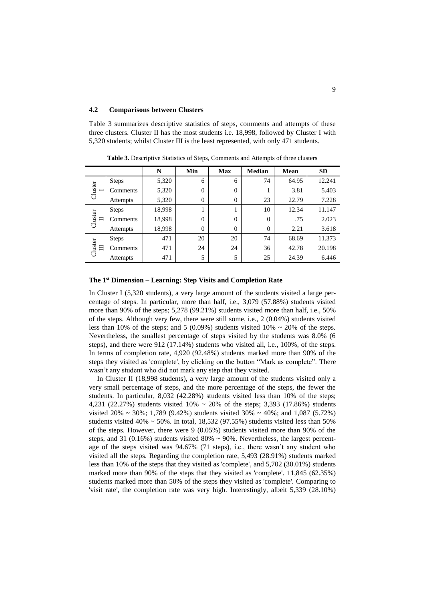#### **4.2 Comparisons between Clusters**

[Table 3](#page-9-0) summarizes descriptive statistics of steps, comments and attempts of these three clusters. Cluster II has the most students i.e. 18,998, followed by Cluster I with 5,320 students; whilst Cluster III is the least represented, with only 471 students.

<span id="page-9-0"></span>

|              |                 | N      | Min            | <b>Max</b>     | <b>Median</b> | Mean  | <b>SD</b> |
|--------------|-----------------|--------|----------------|----------------|---------------|-------|-----------|
| Cluster      | <b>Steps</b>    | 5,320  | 6              | 6              | 74            | 64.95 | 12.241    |
|              | Comments        | 5,320  | $\theta$       | $\overline{0}$ |               | 3.81  | 5.403     |
|              | Attempts        | 5,320  | $\overline{0}$ | $\theta$       | 23            | 22.79 | 7.228     |
| Cluster<br>ᆸ | <b>Steps</b>    | 18,998 |                |                | 10            | 12.34 | 11.147    |
|              | Comments        | 18,998 | $\theta$       | $\theta$       | $\Omega$      | .75   | 2.023     |
|              | Attempts        | 18,998 | $\overline{0}$ | $\overline{0}$ | $\theta$      | 2.21  | 3.618     |
| Cluster<br>目 | <b>Steps</b>    | 471    | 20             | 20             | 74            | 68.69 | 11.373    |
|              | Comments        | 471    | 24             | 24             | 36            | 42.78 | 20.198    |
|              | <b>Attempts</b> | 471    | 5              | 5              | 25            | 24.39 | 6.446     |

**Table 3.** Descriptive Statistics of Steps, Comments and Attempts of three clusters

#### **The 1 st Dimension – Learning: Step Visits and Completion Rate**

In Cluster I (5,320 students), a very large amount of the students visited a large percentage of steps. In particular, more than half, i.e., 3,079 (57.88%) students visited more than 90% of the steps; 5,278 (99.21%) students visited more than half, i.e., 50% of the steps. Although very few, there were still some, i.e., 2 (0.04%) students visited less than 10% of the steps; and 5 (0.09%) students visited 10%  $\sim$  20% of the steps. Nevertheless, the smallest percentage of steps visited by the students was 8.0% (6 steps), and there were 912 (17.14%) students who visited all, i.e., 100%, of the steps. In terms of completion rate, 4,920 (92.48%) students marked more than 90% of the steps they visited as 'complete', by clicking on the button "Mark as complete". There wasn't any student who did not mark any step that they visited.

In Cluster II (18,998 students), a very large amount of the students visited only a very small percentage of steps, and the more percentage of the steps, the fewer the students. In particular, 8,032 (42.28%) students visited less than 10% of the steps; 4,231 (22.27%) students visited 10% ~ 20% of the steps; 3,393 (17.86%) students visited  $20\% \sim 30\%; 1,789 \ (9.42\%)$  students visited  $30\% \sim 40\%;$  and  $1,087 \ (5.72\%)$ students visited 40%  $\sim$  50%. In total, 18,532 (97.55%) students visited less than 50% of the steps. However, there were  $9(0.05%)$  students visited more than 90% of the steps, and 31 (0.16%) students visited 80%  $\sim$  90%. Nevertheless, the largest percentage of the steps visited was 94.67% (71 steps), i.e., there wasn't any student who visited all the steps. Regarding the completion rate, 5,493 (28.91%) students marked less than 10% of the steps that they visited as 'complete', and 5,702 (30.01%) students marked more than 90% of the steps that they visited as 'complete'. 11,845 (62.35%) students marked more than 50% of the steps they visited as 'complete'. Comparing to 'visit rate', the completion rate was very high. Interestingly, albeit 5,339 (28.10%)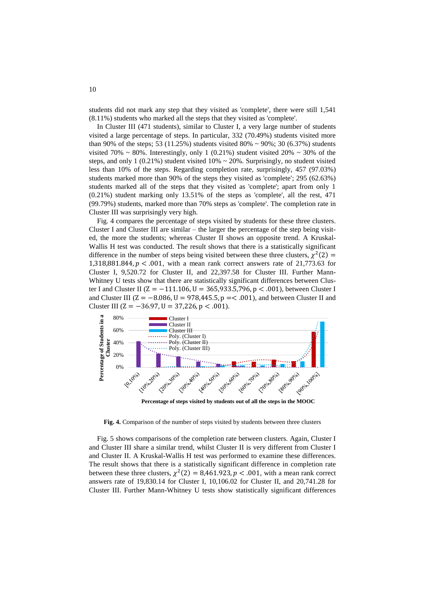students did not mark any step that they visited as 'complete', there were still 1,541 (8.11%) students who marked all the steps that they visited as 'complete'.

In Cluster III (471 students), similar to Cluster I, a very large number of students visited a large percentage of steps. In particular, 332 (70.49%) students visited more than 90% of the steps; 53 (11.25%) students visited 80% ~ 90%; 30 (6.37%) students visited 70%  $\sim$  80%. Interestingly, only 1 (0.21%) student visited 20%  $\sim$  30% of the steps, and only 1 (0.21%) student visited  $10\% \sim 20\%$ . Surprisingly, no student visited less than 10% of the steps. Regarding completion rate, surprisingly, 457 (97.03%) students marked more than 90% of the steps they visited as 'complete'; 295 (62.63%) students marked all of the steps that they visited as 'complete'; apart from only 1 (0.21%) student marking only 13.51% of the steps as 'complete', all the rest, 471 (99.79%) students, marked more than 70% steps as 'complete'. The completion rate in Cluster III was surprisingly very high.

[Fig. 4](#page-10-0) compares the percentage of steps visited by students for these three clusters. Cluster I and Cluster III are similar – the larger the percentage of the step being visited, the more the students; whereas Cluster II shows an opposite trend. A Kruskal-Wallis H test was conducted. The result shows that there is a statistically significant difference in the number of steps being visited between these three clusters,  $\chi^2(2)$  = 1,318,881.844,  $p < .001$ , with a mean rank correct answers rate of 21,773.63 for Cluster I, 9,520.72 for Cluster II, and 22,397.58 for Cluster III. Further Mann-Whitney U tests show that there are statistically significant differences between Cluster I and Cluster II ( $Z = -111.106$ ,  $U = 365.933.5,796$ ,  $p < .001$ ), between Cluster I and Cluster III ( $Z = -8.086$ ,  $U = 978,445.5$ ,  $p = < .001$ ), and between Cluster II and Cluster III ( $Z = -36.97$ ,  $U = 37,226$ ,  $p < .001$ ).



**Percentage of steps visited by students out of all the steps in the MOOC**

<span id="page-10-0"></span>**Fig. 4.** Comparison of the number of steps visited by students between three clusters

[Fig. 5](#page-11-0) shows comparisons of the completion rate between clusters. Again, Cluster I and Cluster III share a similar trend, whilst Cluster II is very different from Cluster I and Cluster II. A Kruskal-Wallis H test was performed to examine these differences. The result shows that there is a statistically significant difference in completion rate between these three clusters,  $\chi^2(2) = 8,461.923$ ,  $p < .001$ , with a mean rank correct answers rate of 19,830.14 for Cluster I, 10,106.02 for Cluster II, and 20,741.28 for Cluster III. Further Mann-Whitney U tests show statistically significant differences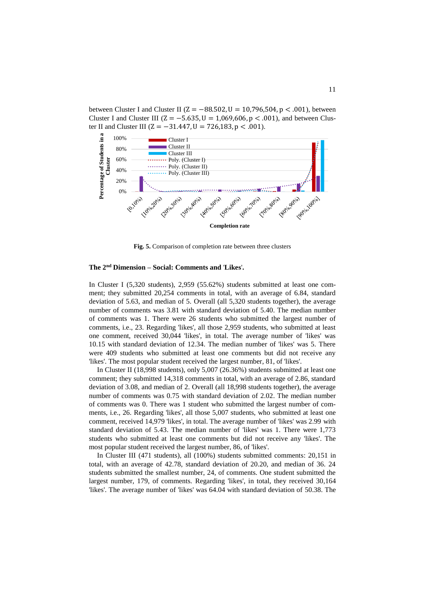between Cluster I and Cluster II ( $Z = -88.502$ ,  $U = 10,796,504$ ,  $p < .001$ ), between Cluster I and Cluster III ( $Z = -5.635$ ,  $U = 1,069,606$ ,  $p < .001$ ), and between Cluster II and Cluster III (Z =  $-31.447$ , U = 726,183, p < .001).



**Fig. 5.** Comparison of completion rate between three clusters

### <span id="page-11-0"></span>**The 2nd Dimension – Social: Comments and** '**Likes**'**.**

In Cluster I (5,320 students), 2,959 (55.62%) students submitted at least one comment; they submitted 20,254 comments in total, with an average of 6.84, standard deviation of 5.63, and median of 5. Overall (all 5,320 students together), the average number of comments was 3.81 with standard deviation of 5.40. The median number of comments was 1. There were 26 students who submitted the largest number of comments, i.e., 23. Regarding 'likes', all those 2,959 students, who submitted at least one comment, received 30,044 'likes', in total. The average number of 'likes' was 10.15 with standard deviation of 12.34. The median number of 'likes' was 5. There were 409 students who submitted at least one comments but did not receive any 'likes'. The most popular student received the largest number, 81, of 'likes'.

In Cluster II (18,998 students), only 5,007 (26.36%) students submitted at least one comment; they submitted 14,318 comments in total, with an average of 2.86, standard deviation of 3.08, and median of 2. Overall (all 18,998 students together), the average number of comments was 0.75 with standard deviation of 2.02. The median number of comments was 0. There was 1 student who submitted the largest number of comments, i.e., 26. Regarding 'likes', all those 5,007 students, who submitted at least one comment, received 14,979 'likes', in total. The average number of 'likes' was 2.99 with standard deviation of 5.43. The median number of 'likes' was 1. There were 1,773 students who submitted at least one comments but did not receive any 'likes'. The most popular student received the largest number, 86, of 'likes'.

In Cluster III (471 students), all (100%) students submitted comments: 20,151 in total, with an average of 42.78, standard deviation of 20.20, and median of 36. 24 students submitted the smallest number, 24, of comments. One student submitted the largest number, 179, of comments. Regarding 'likes', in total, they received 30,164 'likes'. The average number of 'likes' was 64.04 with standard deviation of 50.38. The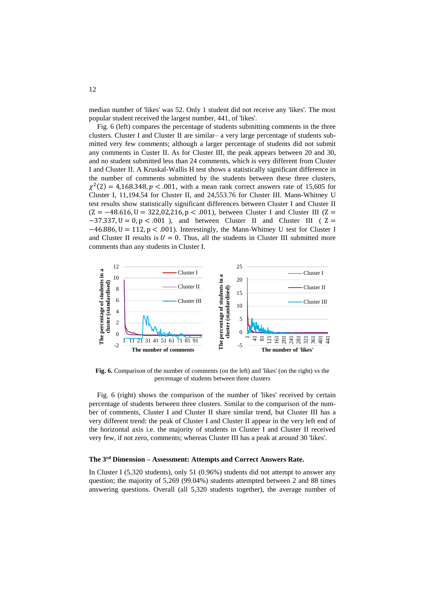median number of 'likes' was 52. Only 1 student did not receive any 'likes'. The most popular student received the largest number, 441, of 'likes'.

[Fig.](#page-12-0) 6 (left) compares the percentage of students submitting comments in the three clusters. Cluster I and Cluster II are similar– a very large percentage of students submitted very few comments; although a larger percentage of students did not submit any comments in Custer II. As for Cluster III, the peak appears between 20 and 30, and no student submitted less than 24 comments, which is very different from Cluster I and Cluster II. A Kruskal-Wallis H test shows a statistically significant difference in the number of comments submitted by the students between these three clusters,  $\chi^2(2) = 4.168.348$ ,  $p < .001$ , with a mean rank correct answers rate of 15,605 for Cluster I, 11,194.54 for Cluster II, and 24,553.76 for Cluster III. Mann-Whitney U test results show statistically significant differences between Cluster I and Cluster II  $(Z = -48.616, U = 322,02,216, p < .001)$ , between Cluster I and Cluster III (Z =  $-37.337$ ,  $U = 0$ ,  $p < .001$ ), and between Cluster II and Cluster III ( Z =  $-46.886$ , U = 112, p < .001). Interestingly, the Mann-Whitney U test for Cluster I and Cluster II results is  $U = 0$ . Thus, all the students in Cluster III submitted more comments than any students in Cluster I.



<span id="page-12-0"></span>**Fig. 6.** Comparison of the number of comments (on the left) and 'likes' (on the right) vs the percentage of students between three clusters

[Fig.](#page-12-0) 6 (right) shows the comparison of the number of 'likes' received by certain percentage of students between three clusters. Similar to the comparison of the number of comments, Cluster I and Cluster II share similar trend, but Cluster III has a very different trend: the peak of Cluster I and Cluster II appear in the very left end of the horizontal axis i.e. the majority of students in Cluster I and Cluster II received very few, if not zero, comments; whereas Cluster III has a peak at around 30 'likes'.

#### **The 3rd Dimension – Assessment: Attempts and Correct Answers Rate.**

In Cluster I (5,320 students), only 51 (0.96%) students did not attempt to answer any question; the majority of 5,269 (99.04%) students attempted between 2 and 88 times answering questions. Overall (all 5,320 students together), the average number of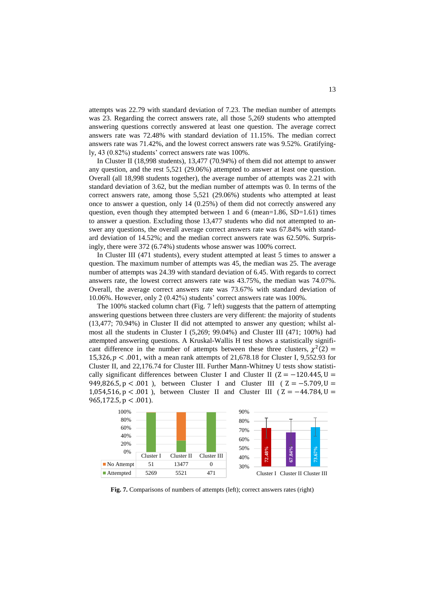attempts was 22.79 with standard deviation of 7.23. The median number of attempts was 23. Regarding the correct answers rate, all those 5,269 students who attempted answering questions correctly answered at least one question. The average correct answers rate was 72.48% with standard deviation of 11.15%. The median correct answers rate was 71.42%, and the lowest correct answers rate was 9.52%. Gratifyingly, 43 (0.82%) students' correct answers rate was 100%.

In Cluster II (18,998 students), 13,477 (70.94%) of them did not attempt to answer any question, and the rest 5,521 (29.06%) attempted to answer at least one question. Overall (all 18,998 students together), the average number of attempts was 2.21 with standard deviation of 3.62, but the median number of attempts was 0. In terms of the correct answers rate, among those 5,521 (29.06%) students who attempted at least once to answer a question, only 14 (0.25%) of them did not correctly answered any question, even though they attempted between 1 and 6 (mean= $1.86$ , SD= $1.61$ ) times to answer a question. Excluding those 13,477 students who did not attempted to answer any questions, the overall average correct answers rate was 67.84% with standard deviation of 14.52%; and the median correct answers rate was 62.50%. Surprisingly, there were 372 (6.74%) students whose answer was 100% correct.

In Cluster III (471 students), every student attempted at least 5 times to answer a question. The maximum number of attempts was 45, the median was 25. The average number of attempts was 24.39 with standard deviation of 6.45. With regards to correct answers rate, the lowest correct answers rate was 43.75%, the median was 74.07%. Overall, the average correct answers rate was 73.67% with standard deviation of 10.06%. However, only 2 (0.42%) students' correct answers rate was 100%.

The 100% stacked column chart [\(Fig. 7](#page-13-0) left) suggests that the pattern of attempting answering questions between three clusters are very different: the majority of students (13,477; 70.94%) in Cluster II did not attempted to answer any question; whilst almost all the students in Cluster I (5,269; 99.04%) and Cluster III (471; 100%) had attempted answering questions. A Kruskal-Wallis H test shows a statistically significant difference in the number of attempts between these three clusters,  $\chi^2(2)$  = 15,326,  $p < .001$ , with a mean rank attempts of 21,678.18 for Cluster I, 9,552.93 for Cluster II, and 22,176.74 for Cluster III. Further Mann-Whitney U tests show statistically significant differences between Cluster I and Cluster II ( $Z = -120.445$ ,  $U =$ 949,826.5, p < .001), between Cluster I and Cluster III (  $Z = -5.709$ , U 1,054,516, p < .001), between Cluster II and Cluster III ( $Z = -44.784$ , U  $965,172.5, p < .001$ ).



<span id="page-13-0"></span>**Fig. 7.** Comparisons of numbers of attempts (left); correct answers rates (right)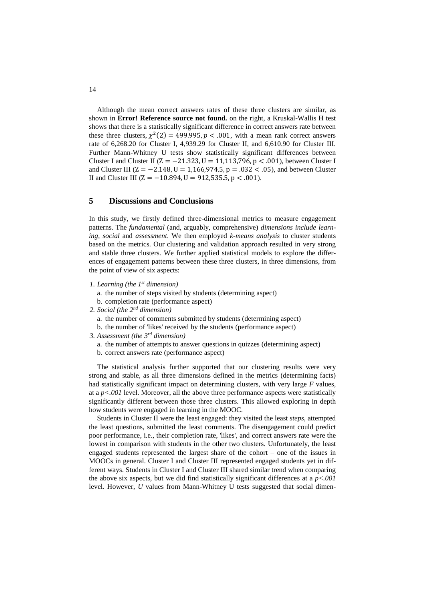Although the mean correct answers rates of these three clusters are similar, as shown in **Error! Reference source not found.** on the right, a Kruskal-Wallis H test shows that there is a statistically significant difference in correct answers rate between these three clusters,  $\chi^2(2) = 499.995$ ,  $p < .001$ , with a mean rank correct answers rate of 6,268.20 for Cluster I, 4,939.29 for Cluster II, and 6,610.90 for Cluster III. Further Mann-Whitney U tests show statistically significant differences between Cluster I and Cluster II ( $Z = -21.323$ ,  $U = 11,113,796$ ,  $p < .001$ ), between Cluster I and Cluster III ( $Z = -2.148$ ,  $U = 1,166,974.5$ ,  $p = .032 < .05$ ), and between Cluster II and Cluster III ( $Z = -10.894$ ,  $U = 912,535.5$ ,  $p < .001$ ).

### **5 Discussions and Conclusions**

In this study, we firstly defined three-dimensional metrics to measure engagement patterns. The *fundamental* (and, arguably, comprehensive) *dimensions include learning*, *social* and *assessment*. We then employed *k-means analysis* to cluster students based on the metrics. Our clustering and validation approach resulted in very strong and stable three clusters. We further applied statistical models to explore the differences of engagement patterns between these three clusters, in three dimensions, from the point of view of six aspects:

- *1. Learning (the 1st dimension)*
	- a. the number of steps visited by students (determining aspect)
	- b. completion rate (performance aspect)
- *2. Social (the 2nd dimension)*
	- a. the number of comments submitted by students (determining aspect)
	- b. the number of 'likes' received by the students (performance aspect)
- *3. Assessment (the 3rd dimension)*
	- a. the number of attempts to answer questions in quizzes (determining aspect) b. correct answers rate (performance aspect)

The statistical analysis further supported that our clustering results were very strong and stable, as all three dimensions defined in the metrics (determining facts) had statistically significant impact on determining clusters, with very large *F* values, at a *p<.001* level. Moreover, all the above three performance aspects were statistically significantly different between those three clusters. This allowed exploring in depth how students were engaged in learning in the MOOC.

Students in Cluster II were the least engaged: they visited the least *steps*, attempted the least questions, submitted the least comments. The disengagement could predict poor performance, i.e., their completion rate, 'likes', and correct answers rate were the lowest in comparison with students in the other two clusters. Unfortunately, the least engaged students represented the largest share of the cohort – one of the issues in MOOCs in general. Cluster I and Cluster III represented engaged students yet in different ways. Students in Cluster I and Cluster III shared similar trend when comparing the above six aspects, but we did find statistically significant differences at a *p<.001* level. However, *U* values from Mann-Whitney U tests suggested that social dimen